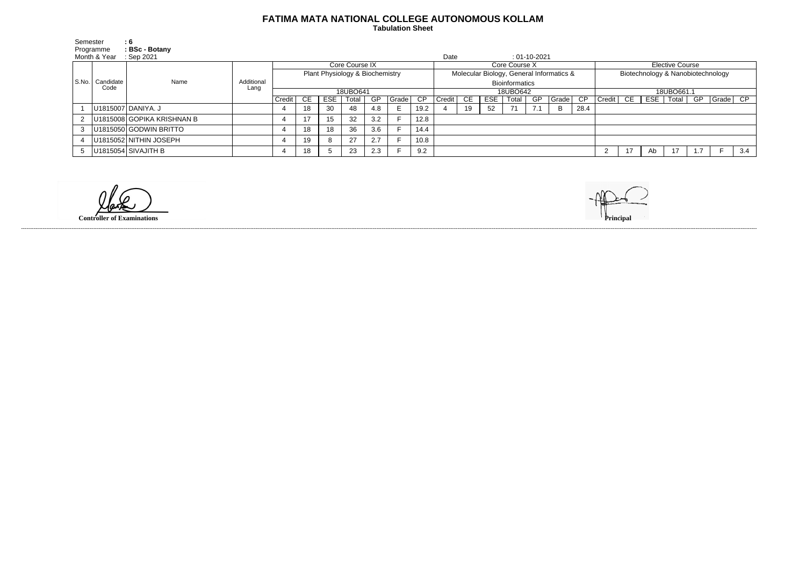## **FATIMA MATA NATIONAL COLLEGE AUTONOMOUS KOLLAM**

 **Tabulation Sheet** 

| Semester     | Programme                 | $\mathbf{.6}$<br>: BSc - Botany |            |                                 |           |            |       |          |                                          |      |        |           |      |                       |                                   |       |      |                    |    |     |       |    |           |     |
|--------------|---------------------------|---------------------------------|------------|---------------------------------|-----------|------------|-------|----------|------------------------------------------|------|--------|-----------|------|-----------------------|-----------------------------------|-------|------|--------------------|----|-----|-------|----|-----------|-----|
| Month & Year |                           | Sep 2021                        |            |                                 |           |            |       |          |                                          |      | Date   |           |      |                       | $: 01 - 10 - 2021$                |       |      |                    |    |     |       |    |           |     |
|              | S.No.   Candidate<br>Code |                                 | Additional | Core Course IX                  |           |            |       |          | Core Course X                            |      |        |           |      |                       | <b>Elective Course</b>            |       |      |                    |    |     |       |    |           |     |
|              |                           | Name                            |            | Plant Physiology & Biochemistry |           |            |       |          | Molecular Biology, General Informatics & |      |        |           |      |                       | Biotechnology & Nanobiotechnology |       |      |                    |    |     |       |    |           |     |
|              |                           |                                 |            |                                 |           |            |       |          |                                          |      |        |           |      | <b>Bioinformatics</b> |                                   |       |      |                    |    |     |       |    |           |     |
|              |                           |                                 | Lang       | 18UBO641                        |           |            |       | 18UBO642 |                                          |      |        |           |      | 18UBO661.1            |                                   |       |      |                    |    |     |       |    |           |     |
|              |                           |                                 |            | Credit                          | <b>CE</b> | <b>ESE</b> | Total | GP       | Grade                                    | CP.  | Credit | <b>CE</b> | ESE. | Total                 | GP                                | Grade | CP   | $Credit$ $C \to C$ |    | ESE | Total | GP | Grade  CP |     |
|              |                           | U1815007 DANIYA. J              |            |                                 | 18        | 30         | 48    | 4.8      |                                          | 19.2 |        | 19        | 52   | 71                    | 7.1                               | B     | 28.4 |                    |    |     |       |    |           |     |
|              |                           | 2   U1815008 GOPIKA KRISHNAN B  |            |                                 |           | 15         | 32    | 3.2      |                                          | 12.8 |        |           |      |                       |                                   |       |      |                    |    |     |       |    |           |     |
| 3            |                           | U1815050 GODWIN BRITTO          |            |                                 | 18        | 18         | 36    | 3.6      |                                          | 14.4 |        |           |      |                       |                                   |       |      |                    |    |     |       |    |           |     |
|              |                           | U1815052 NITHIN JOSEPH          |            |                                 | 19        |            | 27    | 2.7      |                                          | 10.8 |        |           |      |                       |                                   |       |      |                    |    |     |       |    |           |     |
|              |                           | 5   U1815054 SIVAJITH B         |            |                                 | 18        |            | 23    | 2.3      |                                          | 9.2  |        |           |      |                       |                                   |       |      | 2                  | 17 | Ab  | 17    |    |           | 3.4 |

**Controller of Examinations Principal**